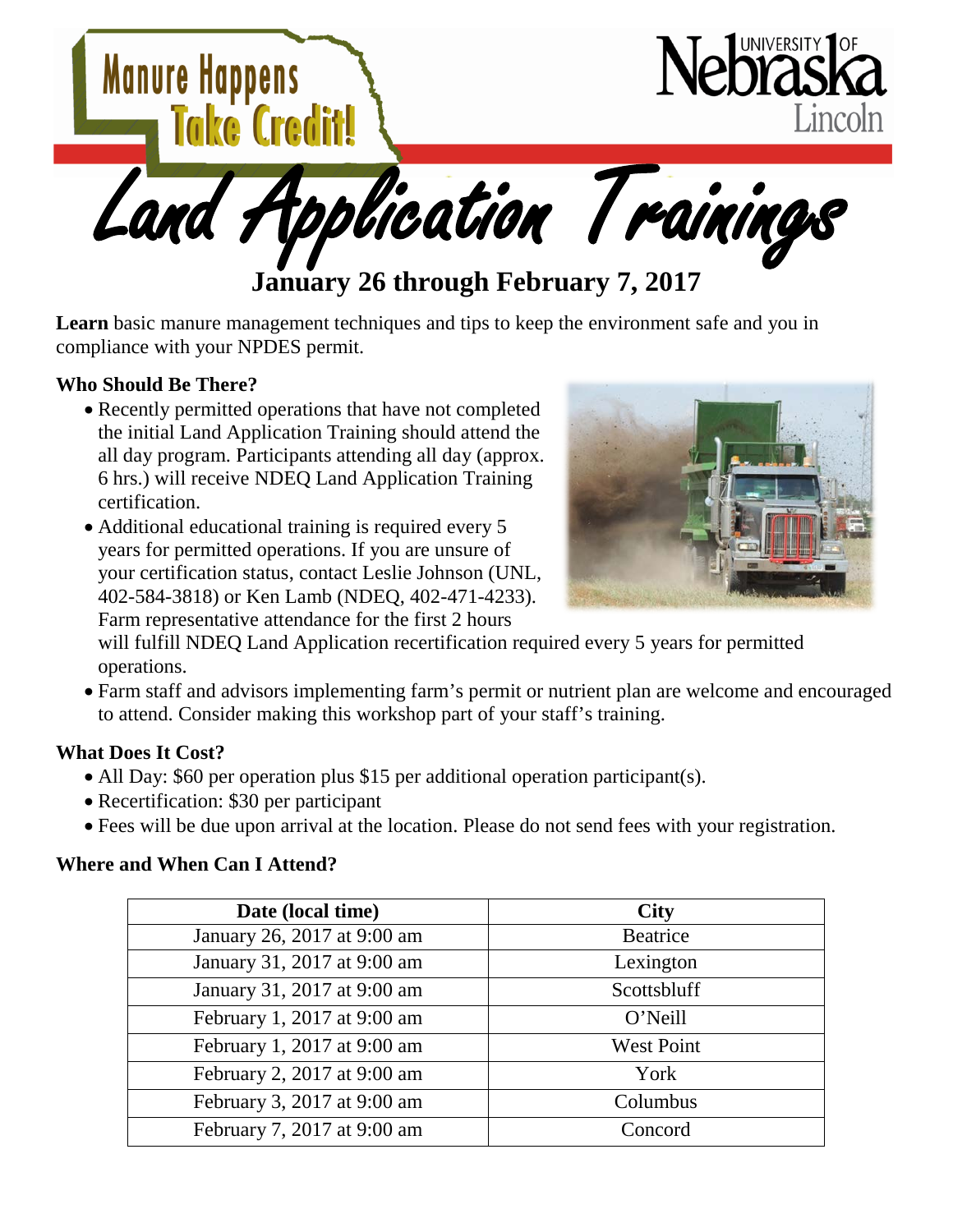

**Learn** basic manure management techniques and tips to keep the environment safe and you in compliance with your NPDES permit.

## **Who Should Be There?**

- Recently permitted operations that have not completed the initial Land Application Training should attend the all day program. Participants attending all day (approx. 6 hrs.) will receive NDEQ Land Application Training certification.
- Additional educational training is required every 5 years for permitted operations. If you are unsure of your certification status, contact Leslie Johnson (UNL, 402-584-3818) or Ken Lamb (NDEQ, 402-471-4233). Farm representative attendance for the first 2 hours



will fulfill NDEQ Land Application recertification required every 5 years for permitted operations.

• Farm staff and advisors implementing farm's permit or nutrient plan are welcome and encouraged to attend. Consider making this workshop part of your staff's training.

## **What Does It Cost?**

- All Day: \$60 per operation plus \$15 per additional operation participant(s).
- Recertification: \$30 per participant
- Fees will be due upon arrival at the location. Please do not send fees with your registration.

## **Where and When Can I Attend?**

| Date (local time)           | <b>City</b>       |
|-----------------------------|-------------------|
| January 26, 2017 at 9:00 am | <b>Beatrice</b>   |
| January 31, 2017 at 9:00 am | Lexington         |
| January 31, 2017 at 9:00 am | Scottsbluff       |
| February 1, 2017 at 9:00 am | O'Neill           |
| February 1, 2017 at 9:00 am | <b>West Point</b> |
| February 2, 2017 at 9:00 am | York              |
| February 3, 2017 at 9:00 am | Columbus          |
| February 7, 2017 at 9:00 am | Concord           |